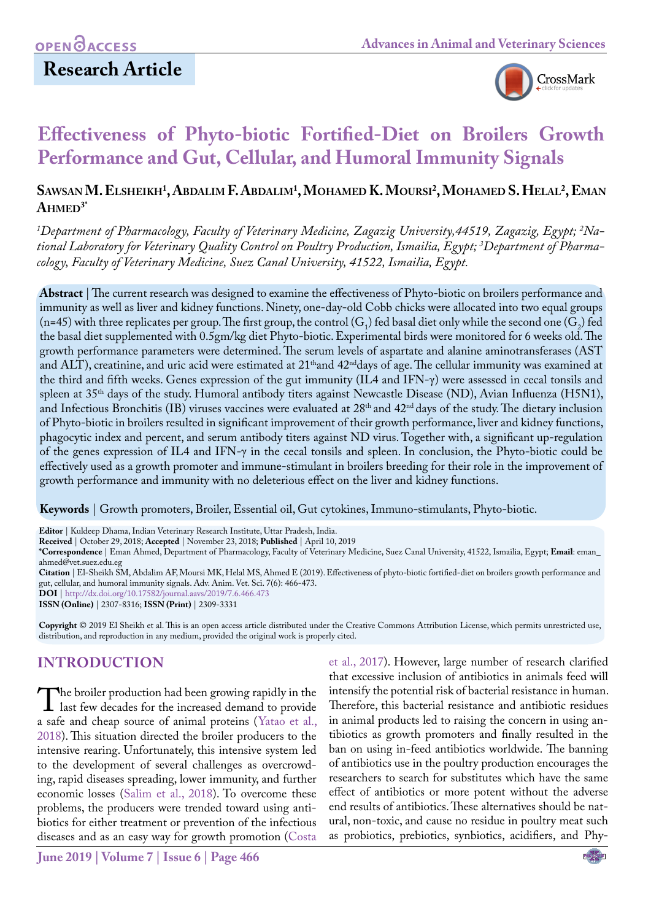

# **Effectiveness of Phyto-biotic Fortified-Diet on Broilers Growth Performance and Gut, Cellular, and Humoral Immunity Signals**

## **Sawsan M. Elsheikh1 , Abdalim F. Abdalim1 , Mohamed K. Moursi 2 , Mohamed S. Helal2 , Eman**  $A$ **HMED**<sup>3\*</sup>

*1 Department of Pharmacology, Faculty of Veterinary Medicine, Zagazig University,44519, Zagazig, Egypt; 2 National Laboratory for Veterinary Quality Control on Poultry Production, Ismailia, Egypt; 3 Department of Pharmacology, Faculty of Veterinary Medicine, Suez Canal University, 41522, Ismailia, Egypt.*

**Abstract** | The current research was designed to examine the effectiveness of Phyto-biotic on broilers performance and immunity as well as liver and kidney functions. Ninety, one-day-old Cobb chicks were allocated into two equal groups (n=45) with three replicates per group. The first group, the control  $(G_1)$  fed basal diet only while the second one  $(G_2)$  fed the basal diet supplemented with 0.5gm/kg diet Phyto-biotic. Experimental birds were monitored for 6 weeks old. The growth performance parameters were determined. The serum levels of aspartate and alanine aminotransferases (AST and ALT), creatinine, and uric acid were estimated at 21<sup>th</sup>and 42<sup>nd</sup>days of age. The cellular immunity was examined at the third and fifth weeks. Genes expression of the gut immunity (IL4 and IFN-γ) were assessed in cecal tonsils and spleen at 35th days of the study. Humoral antibody titers against Newcastle Disease (ND), Avian Influenza (H5N1), and Infectious Bronchitis (IB) viruses vaccines were evaluated at 28<sup>th</sup> and 42<sup>nd</sup> days of the study. The dietary inclusion of Phyto-biotic in broilers resulted in significant improvement of their growth performance, liver and kidney functions, phagocytic index and percent, and serum antibody titers against ND virus. Together with, a significant up-regulation of the genes expression of IL4 and IFN-γ in the cecal tonsils and spleen. In conclusion, the Phyto-biotic could be effectively used as a growth promoter and immune-stimulant in broilers breeding for their role in the improvement of growth performance and immunity with no deleterious effect on the liver and kidney functions.

**Keywords** | Growth promoters, Broiler, Essential oil, Gut cytokines, Immuno-stimulants, Phyto-biotic.

**Editor** | Kuldeep Dhama, Indian Veterinary Research Institute, Uttar Pradesh, India.

**Received** | October 29, 2018; **Accepted** | November 23, 2018; **Published** | April 10, 2019

**\*Correspondence** | Eman Ahmed, Department of Pharmacology, Faculty of Veterinary Medicine, Suez Canal University, 41522, Ismailia, Egypt; **Email**: eman\_ ahmed@vet.suez.edu.eg

**Citation** | El-Sheikh SM, Abdalim AF, Moursi MK, Helal MS, Ahmed E (2019). Effectiveness of phyto-biotic fortified-diet on broilers growth performance and gut, cellular, and humoral immunity signals. Adv. Anim. Vet. Sci. 7(6): 466-473.

**DOI** | [http://dx.doi.org/10.17582/journal.aavs/2019/7.](http://dx.doi.org/10.17582/journal.aavs/2019/7.6.466.473)6.466.473 **ISSN (Online)** | 2307-8316; **ISSN (Print)** | 2309-3331

**Copyright** © 2019 El Sheikh et al. This is an open access article distributed under the Creative Commons Attribution License, which permits unrestricted use, distribution, and reproduction in any medium, provided the original work is properly cited.

## **Introduction**

The broiler production had been growing rapidly in the<br>last few decades for the increased demand to provide<br>a safe and chean source of animal proteins (Yatao et al. a safe and cheap source of animal proteins (Yatao et al., 2018). This situation directed the broiler producers to the intensive rearing. Unfortunately, this intensive system led to the development of several challenges as overcrowding, rapid diseases spreading, lower immunity, and further economic losses [\(Salim et al., 2018](#page-6-0)). To overcome these problems, the producers were trended toward using antibiotics for either treatment or prevention of the infectious diseases and as an easy way for growth promotion ([Costa](#page-6-1) 

[et al., 2017\)](#page-6-1). However, large number of research clarified that excessive inclusion of antibiotics in animals feed will intensify the potential risk of bacterial resistance in human. Therefore, this bacterial resistance and antibiotic residues in animal products led to raising the concern in using antibiotics as growth promoters and finally resulted in the ban on using in-feed antibiotics worldwide. The banning of antibiotics use in the poultry production encourages the researchers to search for substitutes which have the same effect of antibiotics or more potent without the adverse end results of antibiotics. These alternatives should be natural, non-toxic, and cause no residue in poultry meat such as probiotics, prebiotics, synbiotics, acidifiers, and Phy-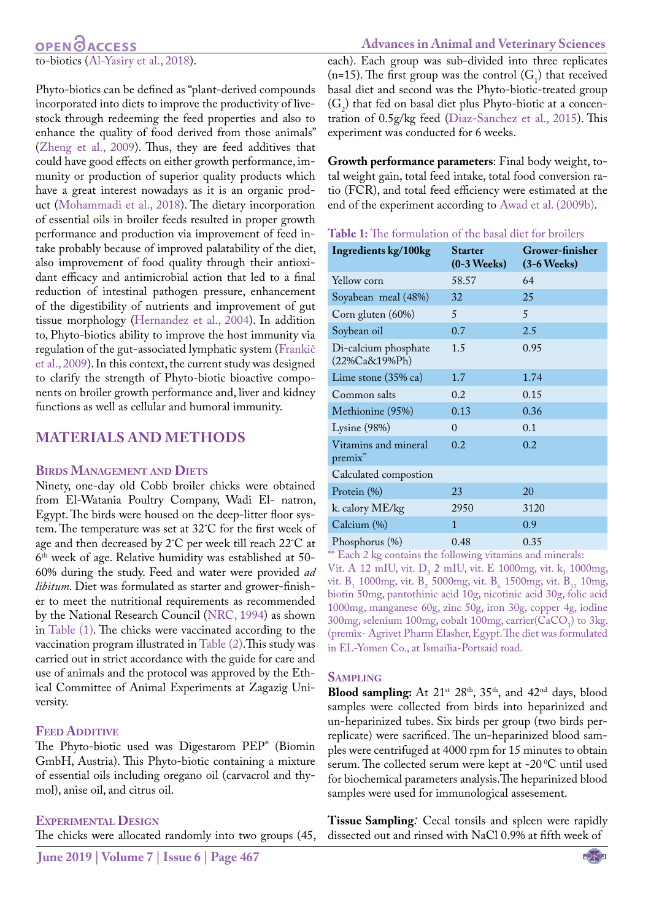## **OPEN**OACCESS to-biotics (Al-Yasiry et al., 2018).

Phyto-biotics can be defined as "plant-derived compounds incorporated into diets to improve the productivity of livestock through redeeming the feed properties and also to enhance the quality of food derived from those animals" (Zheng et al., 2009). Thus, they are feed additives that could have good effects on either growth performance, immunity or production of superior quality products which have a great interest nowadays as it is an organic product [\(Mohammadi et al., 2018\)](#page-6-2). The dietary incorporation of essential oils in broiler feeds resulted in proper growth performance and production via improvement of feed intake probably because of improved palatability of the diet, also improvement of food quality through their antioxidant efficacy and antimicrobial action that led to a final reduction of intestinal pathogen pressure, enhancement of the digestibility of nutrients and improvement of gut tissue morphology [\(Hernandez et al., 2004\)](#page-6-3). In addition to, Phyto-biotics ability to improve the host immunity via regulation of the gut-associated lymphatic system (Frankič et al., 2009). In this context, the current study was designed to clarify the strength of Phyto-biotic bioactive components on broiler growth performance and, liver and kidney functions as well as cellular and humoral immunity.

### **Materials and methods**

### **Birds Management and Diets**

Ninety, one-day old Cobb broiler chicks were obtained from El-Watania Poultry Company, Wadi El- natron, Egypt. The birds were housed on the deep-litter floor system. The temperature was set at 32˚C for the first week of age and then decreased by 2˚C per week till reach 22˚C at 6th week of age. Relative humidity was established at 50- 60% during the study. Feed and water were provided *ad libitum*. Diet was formulated as starter and grower-finisher to meet the nutritional requirements as recommended by the National Research Council ([NRC, 1994](#page-6-4)) as shown in Table (1). The chicks were vaccinated according to the vaccination program illustrated in Table (2).This study was carried out in strict accordance with the guide for care and use of animals and the protocol was approved by the Ethical Committee of Animal Experiments at Zagazig University.

### **FEED ADDITIVE**

The Phyto-biotic used was Digestarom PEP® (Biomin GmbH, Austria). This Phyto-biotic containing a mixture of essential oils including oregano oil (carvacrol and thymol), anise oil, and citrus oil.

### **Experimental Design**

The chicks were allocated randomly into two groups (45,

### **Advances in Animal and Veterinary Sciences** each). Each group was sub-divided into three replicates (n=15). The first group was the control  $(G_1)$  that received basal diet and second was the Phyto-biotic-treated group  $(G_2)$  that fed on basal diet plus Phyto-biotic at a concentration of 0.5g/kg feed (Diaz-Sanchez et al., 2015). This experiment was conducted for 6 weeks.

**Growth performance parameters**: Final body weight, total weight gain, total feed intake, total food conversion ratio (FCR), and total feed efficiency were estimated at the end of the experiment according to Awad et al. (2009b).

**Table 1:** The formulation of the basal diet for broilers

| Ingredients kg/100kg                      | <b>Starter</b><br>$(0-3$ Weeks) | Grower-finisher<br>$(3-6$ Weeks) |
|-------------------------------------------|---------------------------------|----------------------------------|
| Yellow corn                               | 58.57                           | 64                               |
| Soyabean meal (48%)                       | 32                              | 25                               |
| Corn gluten (60%)                         | 5                               | $\overline{5}$                   |
| Soybean oil                               | 0.7                             | 2.5                              |
| Di-calcium phosphate<br>$(22\%Ca&19\%Ph)$ | 1.5                             | 0.95                             |
| Lime stone $(35\% \text{ ca})$            | 1.7                             | 1.74                             |
| Common salts                              | 0.2                             | 0.15                             |
| Methionine (95%)                          | 0.13                            | 0.36                             |
| Lysine (98%)                              | $\Omega$                        | 0.1                              |
| Vitamins and mineral<br>premix**          | 0.2                             | 0.2                              |
| Calculated compostion                     |                                 |                                  |
| Protein (%)                               | 23                              | 20                               |
| k. calory ME/kg                           | 2950                            | 3120                             |
| Calcium (%)                               | 1                               | 0.9                              |
| Phosphorus (%)                            | 0.48                            | 0.35                             |

\*\* Each 2 kg contains the following vitamins and minerals: Vit. A 12 mIU, vit.  $D_3$  2 mIU, vit. E 1000mg, vit.  $k_3$  1000mg, vit.  $B_1$  1000mg, vit.  $B_2$  5000mg, vit.  $B_6$  1500mg, vit.  $B_{12}$  10mg, biotin 50mg, pantothinic acid 10g, nicotinic acid 30g, folic acid 1000mg, manganese 60g, zinc 50g, iron 30g, copper 4g, iodine  $300$ mg, selenium 100mg, cobalt 100mg, carrier(CaCO<sub>3</sub>) to 3kg. (premix- Agrivet Pharm Elasher, Egypt. The diet was formulated in EL-Yomen Co., at Ismailia-Portsaid road.

### **Sampling**

Blood sampling: At 21<sup>st</sup> 28<sup>th</sup>, 35<sup>th</sup>, and 42<sup>nd</sup> days, blood samples were collected from birds into heparinized and un-heparinized tubes. Six birds per group (two birds perreplicate) were sacrificed. The un-heparinized blood samples were centrifuged at 4000 rpm for 15 minutes to obtain serum. The collected serum were kept at -20 °C until used for biochemical parameters analysis.The heparinized blood samples were used for immunological assesement.

**Tissue Sampling***:* Cecal tonsils and spleen were rapidly dissected out and rinsed with NaCl 0.9% at fifth week of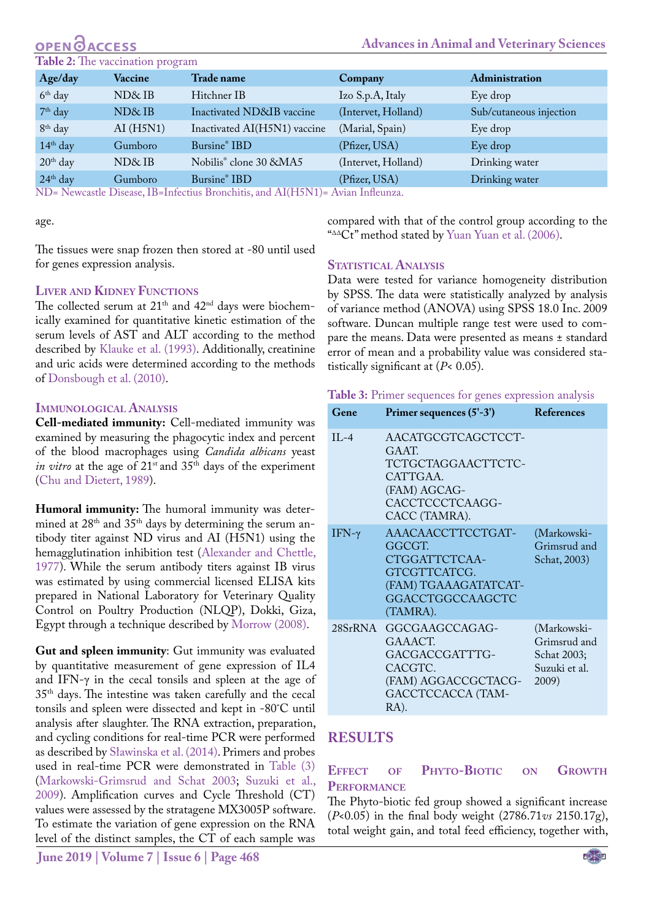## **ACCESS**

### **Table 2:** The vaccination program

| <b>Table 2:</b> The vaccination program                                                                          |              |                                    |                     |                         |
|------------------------------------------------------------------------------------------------------------------|--------------|------------------------------------|---------------------|-------------------------|
| Age/day                                                                                                          | Vaccine      | Trade name                         | Company             | Administration          |
| $6th$ day                                                                                                        | ND&IB        | Hitchner IB                        | Izo S.p.A, Italy    | Eye drop                |
| $7th$ day                                                                                                        | $N\!D\&I\!B$ | Inactivated ND&IB vaccine          | (Intervet, Holland) | Sub/cutaneous injection |
| $8th$ day                                                                                                        | AI(H5N1)     | Inactivated AI(H5N1) vaccine       | (Marial, Spain)     | Eye drop                |
| $14th$ day                                                                                                       | Gumboro      | Bursine <sup>®</sup> IBD           | (Pfizer, USA)       | Eye drop                |
| $20th$ day                                                                                                       | ND&IB        | Nobilis <sup>®</sup> clone 30 &MA5 | (Intervet, Holland) | Drinking water          |
| $24th$ day                                                                                                       | Gumboro      | Bursine <sup>®</sup> IBD           | (Pfizer, USA)       | Drinking water          |
| NID NI<br>$1$ $AT/TTTTAT4$<br>$\mathbf{A}$ in the state of $\mathbf{A}$<br>$\Lambda$ $\cdot$ $\Lambda$ $\Lambda$ |              |                                    |                     |                         |

ND= Newcastle Disease, IB=Infectius Bronchitis, and AI(H5N1)= Avian Infleunza.

age.

compared with that of the control group according to the "ΔΔCt" method stated by Yuan Yuan et al. (2006).

**Advances in Animal and Veterinary Sciences**

The tissues were snap frozen then stored at -80 until used for genes expression analysis.

### **Liver and Kidney Functions**

The collected serum at  $21<sup>th</sup>$  and  $42<sup>nd</sup>$  days were biochemically examined for quantitative kinetic estimation of the serum levels of AST and ALT according to the method described by [Klauke et al. \(1993\)](#page-6-5). Additionally, creatinine and uric acids were determined according to the methods of [Donsbough et al. \(2010\)](#page-6-6).

### **Immunological Analysis**

**Cell-mediated immunity:** Cell-mediated immunity was examined by measuring the phagocytic index and percent of the blood macrophages using *Candida albicans* yeast *in vitro* at the age of 21<sup>st</sup> and 35<sup>th</sup> days of the experiment ([Chu and Dietert, 1989](#page-6-7)).

**Humoral immunity:** The humoral immunity was determined at 28<sup>th</sup> and 35<sup>th</sup> days by determining the serum antibody titer against ND virus and AI (H5N1) using the hemagglutination inhibition test [\(Alexander and Chettle,](#page-5-0) [1977](#page-5-0)). While the serum antibody titers against IB virus was estimated by using commercial licensed ELISA kits prepared in National Laboratory for Veterinary Quality Control on Poultry Production (NLQP), Dokki, Giza, Egypt through a technique described by [Morrow \(2008\)](#page-6-8).

**Gut and spleen immunity**: Gut immunity was evaluated by quantitative measurement of gene expression of IL4 and IFN- $\gamma$  in the cecal tonsils and spleen at the age of 35th days. The intestine was taken carefully and the cecal tonsils and spleen were dissected and kept in -80˚C until analysis after slaughter. The RNA extraction, preparation, and cycling conditions for real-time PCR were performed as described by Sławinska et al. (2014). Primers and probes used in real-time PCR were demonstrated in Table (3) (Markowski‐Grimsrud and Schat 2003; [Suzuki et al.,](#page-6-9) [2009](#page-6-9)). Amplification curves and Cycle Threshold (CT) values were assessed by the stratagene MX3005P software. To estimate the variation of gene expression on the RNA level of the distinct samples, the CT of each sample was

**June 2019 | Volume 7 | Issue 6 | Page 468**

### **STATISTICAL ANALYSIS**

Data were tested for variance homogeneity distribution by SPSS. The data were statistically analyzed by analysis of variance method (ANOVA) using SPSS 18.0 Inc. 2009 software. Duncan multiple range test were used to compare the means. Data were presented as means ± standard error of mean and a probability value was considered statistically significant at (*P*< 0.05).

**Table 3:** Primer sequences for genes expression analysis

| Gene     | Primer sequences (5'-3')                                                                                             | References                                                           |
|----------|----------------------------------------------------------------------------------------------------------------------|----------------------------------------------------------------------|
| $II - 4$ | AACATGCGTCAGCTCCT-<br>GAAT.<br>TCTGCTAGGAACTTCTC-<br>CATTGAA.<br>(FAM) AGCAG-<br>CACCTCCCTCAAGG-<br>CACC (TAMRA).    |                                                                      |
| IFN-γ    | AAACAACCTTCCTGAT-<br>GGCGT.<br>CTGGATTCTCAA-<br>GTCGTTCATCG.<br>(FAM) TGAAAGATATCAT-<br>GGACCTGGCCAAGCTC<br>(TAMRA). | (Markowski-<br>Grimsrud and<br>Schat, 2003)                          |
| 28SrRNA  | GGCGAAGCCAGAG-<br>GAAACT.<br>GACGACCGATTTG-<br>CACGTC.<br>(FAM) AGGACCGCTACG-<br>GACCTCCACCA (TAM-<br>RA).           | (Markowski-<br>Grimsrud and<br>Schat 2003;<br>Suzuki et al.<br>2009) |

## **Results**

### **Effect of Phyto-Biotic on Growth Performance**

The Phyto-biotic fed group showed a significant increase (*P*<0.05) in the final body weight (2786.71*vs* 2150.17g), total weight gain, and total feed efficiency, together with,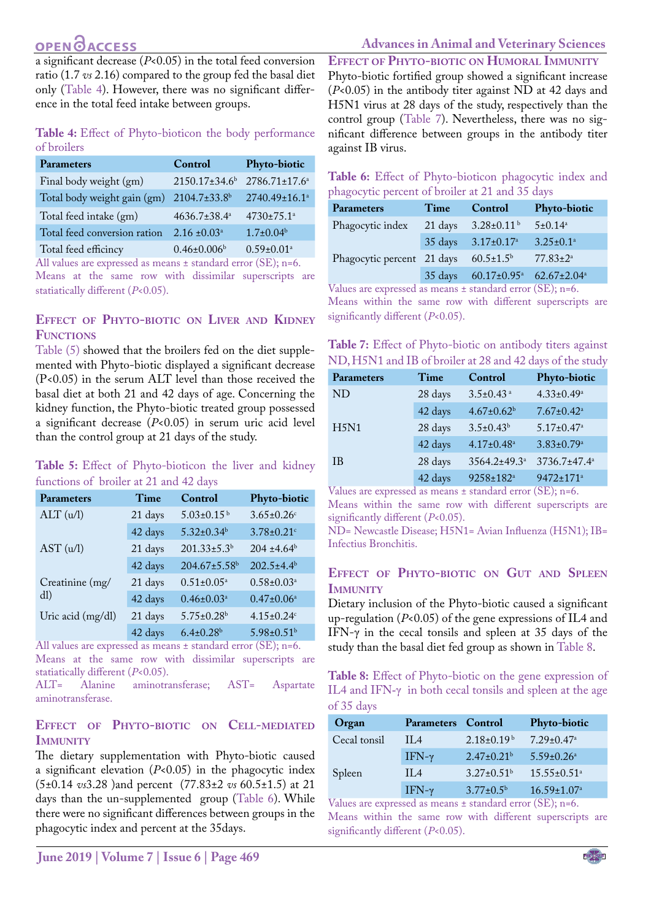## **OPENOACCESS**

a significant decrease (*P*<0.05) in the total feed conversion ratio (1.7 *vs* 2.16) compared to the group fed the basal diet only (Table 4). However, there was no significant difference in the total feed intake between groups.

**Table 4:** Effect of Phyto-bioticon the body performance of broilers

| <b>Parameters</b>            | Control                        | Phyto-biotic                 |
|------------------------------|--------------------------------|------------------------------|
| Final body weight (gm)       | 2150.17±34.6 <sup>b</sup>      | 2786.71±17.6 <sup>a</sup>    |
| Total body weight gain (gm)  | 2104.7±33.8 <sup>b</sup>       | 2740.49±16.1 <sup>a</sup>    |
| Total feed intake (gm)       | $4636.7 \pm 38.4^{\mathrm{a}}$ | 4730±75.1 <sup>a</sup>       |
| Total feed conversion ration | $2.16 \pm 0.03^a$              | $1.7 \pm 0.04^b$             |
| Total feed efficincy         | $0.46 \pm 0.006^b$             | $0.59 \pm 0.01$ <sup>a</sup> |

All values are expressed as means ± standard error (SE); n=6. Means at the same row with dissimilar superscripts are statiatically different (*P*<0.05).

### **Effect of Phyto-biotic on Liver and Kidney Functions**

Table (5) showed that the broilers fed on the diet supplemented with Phyto-biotic displayed a significant decrease (P<0.05) in the serum ALT level than those received the basal diet at both 21 and 42 days of age. Concerning the kidney function, the Phyto-biotic treated group possessed a significant decrease (*P*<0.05) in serum uric acid level than the control group at 21 days of the study.

### **Table 5:** Effect of Phyto-bioticon the liver and kidney functions of broiler at 21 and 42 days

| <b>Parameters</b> | Time    | Control                      | Phyto-biotic                 |
|-------------------|---------|------------------------------|------------------------------|
| ALT (u/l)         | 21 days | $5.03 \pm 0.15^{b}$          | $3.65 \pm 0.26$ c            |
|                   | 42 days | $5.32 \pm 0.34$ <sup>b</sup> | $3.78 \pm 0.21$ c            |
| AST (u/l)         | 21 days | $201.33 \pm 5.3^b$           | $204 \pm 4.64^b$             |
|                   | 42 days | 204.67±5.58 <sup>b</sup>     | $202.5 \pm 4.4^b$            |
| Creatinine (mg/   | 21 days | $0.51 \pm 0.05^{\text{a}}$   | $0.58 \pm 0.03$ <sup>a</sup> |
| dl)               | 42 days | $0.46 \pm 0.03$ <sup>a</sup> | $0.47 \pm 0.06^a$            |
| Uric acid (mg/dl) | 21 days | $5.75 \pm 0.28$ <sup>b</sup> | $4.15 \pm 0.24$ c            |
|                   | 42 days | $6.4 \pm 0.28$ <sup>b</sup>  | 5.98±0.51 <sup>b</sup>       |

All values are expressed as means ± standard error (SE); n=6. Means at the same row with dissimilar superscripts are statiatically different (*P*<0.05).<br>ALT= Alanine aminotra

aminotransferase; AST= Aspartate aminotransferase.

### **Effect of Phyto-biotic on Cell-mediated Immunity**

The dietary supplementation with Phyto-biotic caused a significant elevation (*P*<0.05) in the phagocytic index (5±0.14 *vs*3.28 )and percent (77.83±2 *vs* 60.5±1.5) at 21 days than the un-supplemented group (Table 6). While there were no significant differences between groups in the phagocytic index and percent at the 35days.

**Effect of Phyto-biotic on Humoral Immunity** Phyto-biotic fortified group showed a significant increase (*P*<0.05) in the antibody titer against ND at 42 days and H5N1 virus at 28 days of the study, respectively than the control group (Table 7). Nevertheless, there was no significant difference between groups in the antibody titer against IB virus.

**Table 6:** Effect of Phyto-bioticon phagocytic index and phagocytic percent of broiler at 21 and 35 days

| Parameters                 | Time    | Control                       | <b>Phyto-biotic</b> |
|----------------------------|---------|-------------------------------|---------------------|
| Phagocytic index           | 21 days | $3.28 \pm 0.11$ <sup>b</sup>  | $5 \pm 0.14^a$      |
|                            | 35 days | $3.17 \pm 0.17^{\circ}$       | $3.25 \pm 0.1^a$    |
| Phagocytic percent 21 days |         | $60.5 \pm 1.5^{\rm b}$        | $77.83 \pm 2^a$     |
|                            | 35 days | $60.17 \pm 0.95$ <sup>a</sup> | $62.67 \pm 2.04^a$  |
| .                          |         |                               | $\sqrt{2}$          |

Values are expressed as means ± standard error (SE); n=6.

Means within the same row with different superscripts are significantly different (*P*<0.05).

**Table 7:** Effect of Phyto-biotic on antibody titers against ND, H5N1 and IB of broiler at 28 and 42 days of the study

| Parameters     | Time    | Control                        | <b>Phyto-biotic</b>          |
|----------------|---------|--------------------------------|------------------------------|
| N <sub>D</sub> | 28 days | $3.5 \pm 0.43$ <sup>a</sup>    | $4.33 \pm 0.49^a$            |
|                | 42 days | $4.67 \pm 0.62^b$              | $7.67 \pm 0.42$ <sup>a</sup> |
| H5N1           | 28 days | $3.5 \pm 0.43^b$               | $5.17 \pm 0.47$ <sup>a</sup> |
|                | 42 days | $4.17 \pm 0.48$ <sup>a</sup>   | $3.83 \pm 0.79$ <sup>a</sup> |
| <b>IB</b>      | 28 days | $3564.2 \pm 49.3$ <sup>a</sup> | 3736.7±47.4 <sup>a</sup>     |
|                | 42 days | 9258±182 <sup>a</sup>          | 9472±171 <sup>a</sup>        |

Values are expressed as means ± standard error (SE); n=6.

Means within the same row with different superscripts are significantly different (*P*<0.05).

ND= Newcastle Disease; H5N1= Avian Influenza (H5N1); IB= Infectius Bronchitis.

### **Effect of Phyto-biotic on Gut and Spleen IMMUNITY**

Dietary inclusion of the Phyto-biotic caused a significant up-regulation (*P*<0.05) of the gene expressions of IL4 and IFN-γ in the cecal tonsils and spleen at 35 days of the study than the basal diet fed group as shown in Table 8.

**Table 8:** Effect of Phyto-biotic on the gene expression of IL4 and IFN- $\gamma$  in both cecal tonsils and spleen at the age of 35 days

| Organ                                   | <b>Parameters</b> Control |                              | <b>Phyto-biotic</b>           |
|-----------------------------------------|---------------------------|------------------------------|-------------------------------|
| Cecal tonsil                            | $\prod A$                 | $2.18 \pm 0.19^{\text{b}}$   | $7.29 \pm 0.47$ <sup>a</sup>  |
|                                         | IFN- $\gamma$             | $2.47 \pm 0.21$ <sup>b</sup> | $5.59 \pm 0.26$ <sup>a</sup>  |
| Spleen                                  | $\prod A$                 | $3.27 \pm 0.51$ <sup>b</sup> | $15.55 \pm 0.51$ <sup>a</sup> |
|                                         | IFN- $\gamma$             | $3.77 \pm 0.5^b$             | $16.59 \pm 1.07^a$            |
| $T1$ (The set of $T1$ ) and $T1$ (CF) ( |                           |                              |                               |

Values are expressed as means ± standard error (SE); n=6. Means within the same row with different superscripts are significantly different (*P*<0.05).

NE**X**US

## **Advances in Animal and Veterinary Sciences**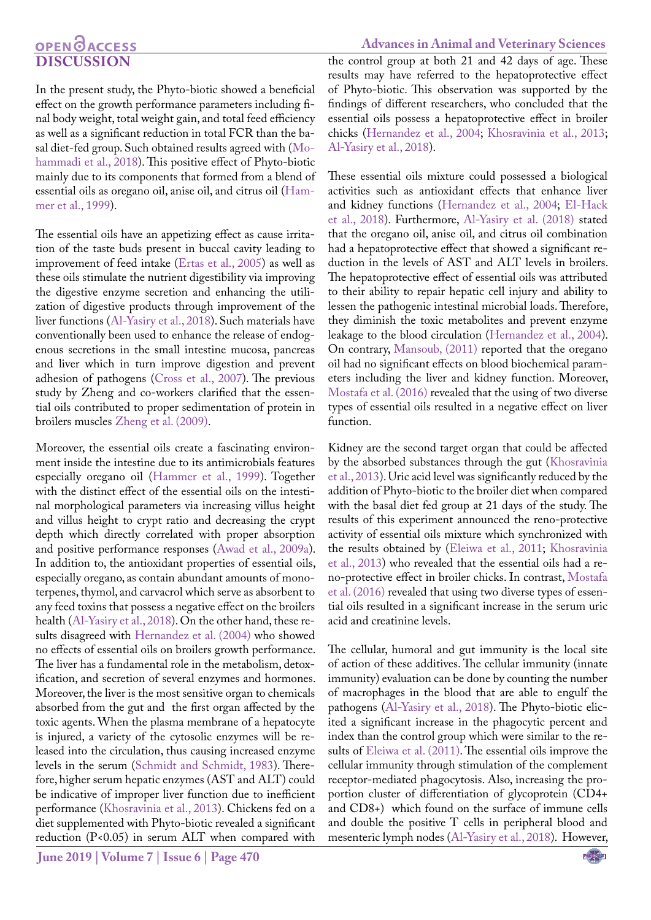## **OPENOACCESS Discussion**

In the present study, the Phyto-biotic showed a beneficial effect on the growth performance parameters including final body weight, total weight gain, and total feed efficiency as well as a significant reduction in total FCR than the basal diet-fed group. Such obtained results agreed with [\(Mo](#page-6-2)[hammadi et al., 2018](#page-6-2)). This positive effect of Phyto-biotic mainly due to its components that formed from a blend of essential oils as oregano oil, anise oil, and citrus oil ([Ham](#page-6-10)[mer et al., 1999\)](#page-6-10).

The essential oils have an appetizing effect as cause irritation of the taste buds present in buccal cavity leading to improvement of feed intake (Ertas et al., 2005) as well as these oils stimulate the nutrient digestibility via improving the digestive enzyme secretion and enhancing the utilization of digestive products through improvement of the liver functions (Al-Yasiry et al., 2018). Such materials have conventionally been used to enhance the release of endogenous secretions in the small intestine mucosa, pancreas and liver which in turn improve digestion and prevent adhesion of pathogens [\(Cross et al., 2007](#page-6-11)). The previous study by Zheng and co-workers clarified that the essential oils contributed to proper sedimentation of protein in broilers muscles Zheng et al. (2009).

Moreover, the essential oils create a fascinating environment inside the intestine due to its antimicrobials features especially oregano oil ([Hammer et al., 1999\)](#page-6-10). Together with the distinct effect of the essential oils on the intestinal morphological parameters via increasing villus height and villus height to crypt ratio and decreasing the crypt depth which directly correlated with proper absorption and positive performance responses (Awad et al., 2009a). In addition to, the antioxidant properties of essential oils, especially oregano, as contain abundant amounts of monoterpenes, thymol, and carvacrol which serve as absorbent to any feed toxins that possess a negative effect on the broilers health (Al-Yasiry et al., 2018). On the other hand, these results disagreed with [Hernandez et al. \(2004\)](#page-6-3) who showed no effects of essential oils on broilers growth performance. The liver has a fundamental role in the metabolism, detoxification, and secretion of several enzymes and hormones. Moreover, the liver is the most sensitive organ to chemicals absorbed from the gut and the first organ affected by the toxic agents. When the plasma membrane of a hepatocyte is injured, a variety of the cytosolic enzymes will be released into the circulation, thus causing increased enzyme levels in the serum ([Schmidt and Schmidt, 1983](#page-6-12)). Therefore, higher serum hepatic enzymes (AST and ALT) could be indicative of improper liver function due to inefficient performance ([Khosravinia et al., 2013](#page-6-13)). Chickens fed on a diet supplemented with Phyto-biotic revealed a significant reduction (P<0.05) in serum ALT when compared with

**June 2019 | Volume 7 | Issue 6 | Page 470**

the control group at both 21 and 42 days of age. These results may have referred to the hepatoprotective effect of Phyto-biotic. This observation was supported by the findings of different researchers, who concluded that the essential oils possess a hepatoprotective effect in broiler chicks [\(Hernandez et al., 2004](#page-6-3); [Khosravinia et al., 2013](#page-6-13); Al-Yasiry et al., 2018).

These essential oils mixture could possessed a biological activities such as antioxidant effects that enhance liver and kidney functions [\(Hernandez et al., 2004;](#page-6-3) [El-Hack](#page-6-14)  [et al., 2018](#page-6-14)). Furthermore, Al-Yasiry et al. (2018) stated that the oregano oil, anise oil, and citrus oil combination had a hepatoprotective effect that showed a significant reduction in the levels of AST and ALT levels in broilers. The hepatoprotective effect of essential oils was attributed to their ability to repair hepatic cell injury and ability to lessen the pathogenic intestinal microbial loads. Therefore, they diminish the toxic metabolites and prevent enzyme leakage to the blood circulation ([Hernandez et al., 2004](#page-6-3)). On contrary, [Mansoub, \(2011\)](#page-6-15) reported that the oregano oil had no significant effects on blood biochemical parameters including the liver and kidney function. Moreover, [Mostafa et al. \(2016\)](#page-6-16) revealed that the using of two diverse types of essential oils resulted in a negative effect on liver function.

Kidney are the second target organ that could be affected by the absorbed substances through the gut ([Khosravinia](#page-6-13)  [et al., 2013](#page-6-13)). Uric acid level was significantly reduced by the addition of Phyto-biotic to the broiler diet when compared with the basal diet fed group at 21 days of the study. The results of this experiment announced the reno-protective activity of essential oils mixture which synchronized with the results obtained by [\(Eleiwa et al., 2011](#page-6-17); [Khosravinia](#page-6-13)  [et al., 2013](#page-6-13)) who revealed that the essential oils had a reno-protective effect in broiler chicks. In contrast, [Mostafa](#page-6-16)  [et al. \(2016\) r](#page-6-16)evealed that using two diverse types of essential oils resulted in a significant increase in the serum uric acid and creatinine levels.

The cellular, humoral and gut immunity is the local site of action of these additives. The cellular immunity (innate immunity) evaluation can be done by counting the number of macrophages in the blood that are able to engulf the pathogens (Al-Yasiry et al., 2018). The Phyto-biotic elicited a significant increase in the phagocytic percent and index than the control group which were similar to the results of [Eleiwa et al. \(2011\).](#page-6-17) The essential oils improve the cellular immunity through stimulation of the complement receptor-mediated phagocytosis. Also, increasing the proportion cluster of differentiation of glycoprotein (CD4+ and CD8+) which found on the surface of immune cells and double the positive T cells in peripheral blood and mesenteric lymph nodes (Al-Yasiry et al., 2018). However,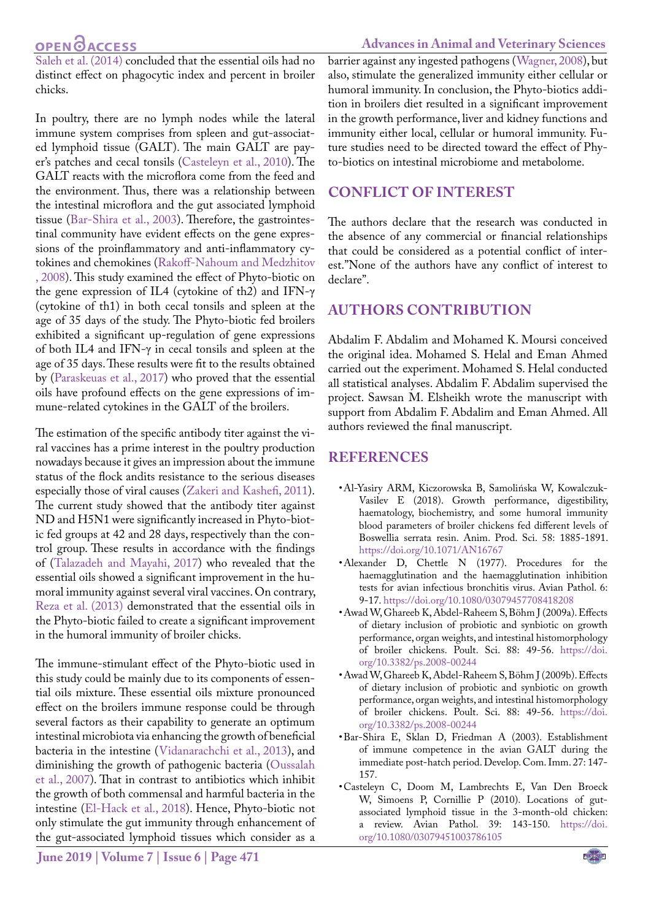## **OPEN**OACCESS

**Advances in Animal and Veterinary Sciences**

[Saleh et al. \(2014\)](#page-6-18) concluded that the essential oils had no distinct effect on phagocytic index and percent in broiler chicks.

In poultry, there are no lymph nodes while the lateral immune system comprises from spleen and gut-associated lymphoid tissue (GALT). The main GALT are payer's patches and cecal tonsils ([Casteleyn et al., 2010\)](#page-5-1). The GALT reacts with the microflora come from the feed and the environment. Thus, there was a relationship between the intestinal microflora and the gut associated lymphoid tissue [\(Bar-Shira et al., 2003\)](#page-5-2). Therefore, the gastrointestinal community have evident effects on the gene expressions of the proinflammatory and anti-inflammatory cytokines and chemokines [\(Rakoff-Nahoum and Medzhitov](#page-6-19) [, 2008\)](#page-6-19). This study examined the effect of Phyto-biotic on the gene expression of IL4 (cytokine of th2) and IFN-γ (cytokine of th1) in both cecal tonsils and spleen at the age of 35 days of the study. The Phyto-biotic fed broilers exhibited a significant up-regulation of gene expressions of both IL4 and IFN-γ in cecal tonsils and spleen at the age of 35 days. These results were fit to the results obtained by ([Paraskeuas et al., 2017](#page-6-20)) who proved that the essential oils have profound effects on the gene expressions of immune-related cytokines in the GALT of the broilers.

The estimation of the specific antibody titer against the viral vaccines has a prime interest in the poultry production nowadays because it gives an impression about the immune status of the flock andits resistance to the serious diseases especially those of viral causes (Zakeri and Kashefi, 2011). The current study showed that the antibody titer against ND and H5N1 were significantly increased in Phyto-biotic fed groups at 42 and 28 days, respectively than the control group. These results in accordance with the findings of (Talazadeh and Mayahi, 2017) who revealed that the essential oils showed a significant improvement in the humoral immunity against several viral vaccines. On contrary, [Reza et al. \(2013\)](#page-6-21) demonstrated that the essential oils in the Phyto-biotic failed to create a significant improvement in the humoral immunity of broiler chicks.

The immune-stimulant effect of the Phyto-biotic used in this study could be mainly due to its components of essential oils mixture. These essential oils mixture pronounced effect on the broilers immune response could be through several factors as their capability to generate an optimum intestinal microbiota via enhancing the growth of beneficial bacteria in the intestine (Vidanarachchi et al., 2013), and diminishing the growth of pathogenic bacteria [\(Oussalah](#page-6-22) [et al., 2007](#page-6-22)). That in contrast to antibiotics which inhibit the growth of both commensal and harmful bacteria in the intestine ([El-Hack et al., 2018\)](#page-6-14). Hence, Phyto-biotic not only stimulate the gut immunity through enhancement of the gut-associated lymphoid tissues which consider as a

barrier against any ingested pathogens (Wagner, 2008), but also, stimulate the generalized immunity either cellular or humoral immunity. In conclusion, the Phyto-biotics addition in broilers diet resulted in a significant improvement in the growth performance, liver and kidney functions and immunity either local, cellular or humoral immunity. Future studies need to be directed toward the effect of Phyto-biotics on intestinal microbiome and metabolome.

## **Conflict of interest**

The authors declare that the research was conducted in the absence of any commercial or financial relationships that could be considered as a potential conflict of interest."None of the authors have any conflict of interest to declare".

## **Authors Contribution**

Abdalim F. Abdalim and Mohamed K. Moursi conceived the original idea. Mohamed S. Helal and Eman Ahmed carried out the experiment. Mohamed S. Helal conducted all statistical analyses. Abdalim F. Abdalim supervised the project. Sawsan M. Elsheikh wrote the manuscript with support from Abdalim F. Abdalim and Eman Ahmed. All authors reviewed the final manuscript.

## **References**

- • Al-Yasiry ARM, Kiczorowska B, Samolińska W, Kowalczuk-Vasilev E (2018). Growth performance, digestibility, haematology, biochemistry, and some humoral immunity blood parameters of broiler chickens fed different levels of Boswellia serrata resin. Anim. Prod. Sci. 58: 1885-1891. [https://doi.org/10.1071/AN16767](https://doi.org/10.1071/AN16767 )
- <span id="page-5-0"></span>• Alexander D, Chettle N (1977). Procedures for the haemagglutination and the haemagglutination inhibition tests for avian infectious bronchitis virus. Avian Pathol. 6: 9-17. [https://doi.org/10.1080/03079457708418208](https://doi.org/10.1080/03079457708418208 )
- Awad W, Ghareeb K, Abdel-Raheem S, Böhm J (2009a). Effects of dietary inclusion of probiotic and synbiotic on growth performance, organ weights, and intestinal histomorphology of broiler chickens. Poult. Sci. 88: 49-56. [https://doi.](https://doi.org/10.3382/ps.2008-00244 ) [org/10.3382/ps.2008-00244](https://doi.org/10.3382/ps.2008-00244 )
- • Awad W, Ghareeb K, Abdel-Raheem S, Böhm J (2009b). Effects of dietary inclusion of probiotic and synbiotic on growth performance, organ weights, and intestinal histomorphology of broiler chickens. Poult. Sci. 88: 49-56. [https://doi.](https://doi.org/10.3382/ps.2008-00244 ) [org/10.3382/ps.2008-00244](https://doi.org/10.3382/ps.2008-00244 )
- <span id="page-5-2"></span>• Bar-Shira E, Sklan D, Friedman A (2003). Establishment of immune competence in the avian GALT during the immediate post-hatch period. Develop. Com. Imm. 27: 147- 157.
- <span id="page-5-1"></span>• Casteleyn C, Doom M, Lambrechts E, Van Den Broeck W, Simoens P, Cornillie P (2010). Locations of gutassociated lymphoid tissue in the 3-month-old chicken: a review. Avian Pathol. 39: 143-150. [https://doi.](https://doi.org/10.1080/03079451003786105 ) [org/10.1080/03079451003786105](https://doi.org/10.1080/03079451003786105 )

**June 2019 | Volume 7 | Issue 6 | Page 471**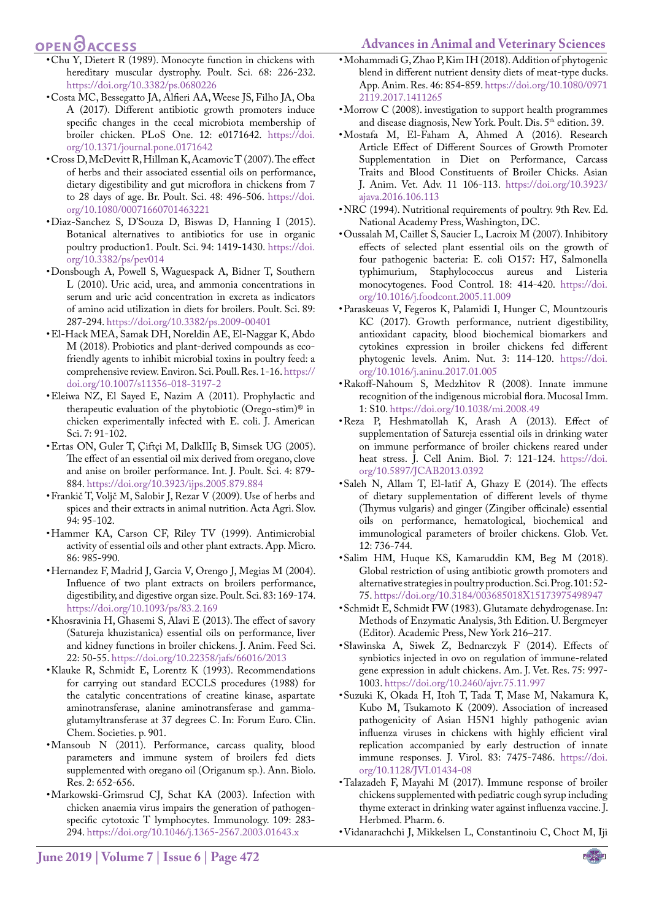## **OPEN**OACCESS

- <span id="page-6-2"></span>**Advances in Animal and Veterinary Sciences**
- <span id="page-6-7"></span>• Chu Y, Dietert R (1989). Monocyte function in chickens with hereditary muscular dystrophy. Poult. Sci. 68: 226-232. [https://doi.org/10.3382/ps.0680226](https://doi.org/10.3382/ps.0680226 )
- <span id="page-6-1"></span>• Costa MC, Bessegatto JA, Alfieri AA, Weese JS, Filho JA, Oba A (2017). Different antibiotic growth promoters induce specific changes in the cecal microbiota membership of broiler chicken. PLoS One. 12: e0171642. [https://doi.](https://doi.org/10.1371/journal.pone.0171642 ) [org/10.1371/journal.pone.0171642](https://doi.org/10.1371/journal.pone.0171642 )
- <span id="page-6-11"></span>• Cross D, McDevitt R, Hillman K, Acamovic T (2007). The effect of herbs and their associated essential oils on performance, dietary digestibility and gut microflora in chickens from 7 to 28 days of age. Br. Poult. Sci. 48: 496-506[. https://doi.]( https://doi.org/10.1080/00071660701463221 ) [org/10.1080/00071660701463221]( https://doi.org/10.1080/00071660701463221 )
- • Diaz-Sanchez S, D'Souza D, Biswas D, Hanning I (2015). Botanical alternatives to antibiotics for use in organic poultry production1. Poult. Sci. 94: 1419-1430. [https://doi.](https://doi.org/10.3382/ps/pev014 ) [org/10.3382/ps/pev014](https://doi.org/10.3382/ps/pev014 )
- <span id="page-6-6"></span>• Donsbough A, Powell S, Waguespack A, Bidner T, Southern L (2010). Uric acid, urea, and ammonia concentrations in serum and uric acid concentration in excreta as indicators of amino acid utilization in diets for broilers. Poult. Sci. 89: 287-294[. https://doi.org/10.3382/ps.2009-00401]( https://doi.org/10.3382/ps.2009-00401 )
- <span id="page-6-14"></span>• El-Hack MEA, Samak DH, Noreldin AE, El-Naggar K, Abdo M (2018). Probiotics and plant-derived compounds as ecofriendly agents to inhibit microbial toxins in poultry feed: a comprehensive review. Environ. Sci. Poull. Res. 1-16. [https://](https://doi.org/10.1007/s11356-018-3197-2 ) [doi.org/10.1007/s11356-018-3197-2](https://doi.org/10.1007/s11356-018-3197-2 )
- <span id="page-6-17"></span>• Eleiwa NZ, El Sayed E, Nazim A (2011). Prophylactic and therapeutic evaluation of the phytobiotic (Orego-stim)® in chicken experimentally infected with E. coli. J. American Sci. 7: 91-102.
- • Ertas ON, Guler T, Çiftçi M, DalkIlIç B, Simsek UG (2005). The effect of an essential oil mix derived from oregano, clove and anise on broiler performance. Int. J. Poult. Sci. 4: 879- 884. [https://doi.org/10.3923/ijps.2005.879.884](https://doi.org/10.3923/ijps.2005.879.884 )
- • Frankič T, Voljč M, Salobir J, Rezar V (2009). Use of herbs and spices and their extracts in animal nutrition. Acta Agri. Slov. 94: 95-102.
- <span id="page-6-10"></span>• Hammer KA, Carson CF, Riley TV (1999). Antimicrobial activity of essential oils and other plant extracts. App. Micro. 86: 985-990.
- <span id="page-6-3"></span>• Hernandez F, Madrid J, Garcia V, Orengo J, Megias M (2004). Influence of two plant extracts on broilers performance, digestibility, and digestive organ size. Poult. Sci. 83: 169-174. [https://doi.org/10.1093/ps/83.2.169](https://doi.org/10.1093/ps/83.2.169 )
- <span id="page-6-13"></span>• Khosravinia H, Ghasemi S, Alavi E (2013). The effect of savory (Satureja khuzistanica) essential oils on performance, liver and kidney functions in broiler chickens. J. Anim. Feed Sci. 22: 50-55[. https://doi.org/10.22358/jafs/66016/2013]( https://doi.org/10.22358/jafs/66016/2013 )
- <span id="page-6-5"></span>• Klauke R, Schmidt E, Lorentz K (1993). Recommendations for carrying out standard ECCLS procedures (1988) for the catalytic concentrations of creatine kinase, aspartate aminotransferase, alanine aminotransferase and gammaglutamyltransferase at 37 degrees C. In: Forum Euro. Clin. Chem. Societies. p. 901.
- <span id="page-6-15"></span>• Mansoub N (2011). Performance, carcass quality, blood parameters and immune system of broilers fed diets supplemented with oregano oil (Origanum sp.). Ann. Biolo. Res. 2: 652-656.
- • Markowski‐Grimsrud CJ, Schat KA (2003). Infection with chicken anaemia virus impairs the generation of pathogen‐ specific cytotoxic T lymphocytes. Immunology. 109: 283- 294. [https://doi.org/10.1046/j.1365-2567.2003.01643.x](https://doi.org/10.1046/j.1365-2567.2003.01643.x )
- • Mohammadi G, Zhao P, Kim IH (2018). Addition of phytogenic blend in different nutrient density diets of meat-type ducks. App. Anim. Res. 46: 854-859. [https://doi.org/10.1080/0971](https://doi.org/10.1080/09712119.2017.1411265 ) [2119.2017.1411265](https://doi.org/10.1080/09712119.2017.1411265 )
- <span id="page-6-8"></span>• Morrow C (2008). investigation to support health programmes and disease diagnosis, New York. Poult. Dis. 5<sup>th</sup> edition. 39.
- <span id="page-6-16"></span>• Mostafa M, El-Faham A, Ahmed A (2016). Research Article Effect of Different Sources of Growth Promoter Supplementation in Diet on Performance, Carcass Traits and Blood Constituents of Broiler Chicks. Asian J. Anim. Vet. Adv. 11 106-113. [https://doi.org/10.3923/](https://doi.org/10.3923/ajava.2016.106.113 ) [ajava.2016.106.113](https://doi.org/10.3923/ajava.2016.106.113 )
- <span id="page-6-4"></span>• NRC (1994). Nutritional requirements of poultry. 9th Rev. Ed. National Academy Press, Washington, DC.
- <span id="page-6-22"></span>• Oussalah M, Caillet S, Saucier L, Lacroix M (2007). Inhibitory effects of selected plant essential oils on the growth of four pathogenic bacteria: E. coli O157: H7, Salmonella typhimurium, Staphylococcus aureus and Listeria monocytogenes. Food Control. 18: 414-420. [https://doi.](https://doi.org/10.1016/j.foodcont.2005.11.009 ) [org/10.1016/j.foodcont.2005.11.009](https://doi.org/10.1016/j.foodcont.2005.11.009 )
- <span id="page-6-20"></span>• Paraskeuas V, Fegeros K, Palamidi I, Hunger C, Mountzouris KC (2017). Growth performance, nutrient digestibility, antioxidant capacity, blood biochemical biomarkers and cytokines expression in broiler chickens fed different phytogenic levels. Anim. Nut. 3: 114-120. [https://doi.](https://doi.org/10.1016/j.aninu.2017.01.005 ) [org/10.1016/j.aninu.2017.01.005](https://doi.org/10.1016/j.aninu.2017.01.005 )
- <span id="page-6-19"></span>• Rakoff-Nahoum S, Medzhitov R (2008). Innate immune recognition of the indigenous microbial flora. Mucosal Imm. 1: S10. [https://doi.org/10.1038/mi.2008.49](https://doi.org/10.1038/mi.2008.49 )
- <span id="page-6-21"></span>• Reza P, Heshmatollah K, Arash A (2013). Effect of supplementation of Satureja essential oils in drinking water on immune performance of broiler chickens reared under heat stress. J. Cell Anim. Biol. 7: 121-124. [https://doi.](https://doi.org/10.5897/JCAB2013.0392 ) [org/10.5897/JCAB2013.0392](https://doi.org/10.5897/JCAB2013.0392 )
- <span id="page-6-18"></span>• Saleh N, Allam T, El-latif A, Ghazy E (2014). The effects of dietary supplementation of different levels of thyme (Thymus vulgaris) and ginger (Zingiber officinale) essential oils on performance, hematological, biochemical and immunological parameters of broiler chickens. Glob. Vet. 12: 736-744.
- <span id="page-6-0"></span>• Salim HM, Huque KS, Kamaruddin KM, Beg M (2018). Global restriction of using antibiotic growth promoters and alternative strategies in poultry production. Sci. Prog. 101: 52- 75.<https://doi.org/10.3184/003685018X15173975498947>
- <span id="page-6-12"></span>• Schmidt E, Schmidt FW (1983). Glutamate dehydrogenase. In: Methods of Enzymatic Analysis, 3th Edition. U. Bergmeyer (Editor). Academic Press, New York 216–217.
- • Sławinska A, Siwek Z, Bednarczyk F (2014). Effects of synbiotics injected in ovo on regulation of immune-related gene expression in adult chickens. Am. J. Vet. Res. 75: 997- 1003. [https://doi.org/10.2460/ajvr.75.11.997](https://doi.org/10.2460/ajvr.75.11.997 )
- <span id="page-6-9"></span>• Suzuki K, Okada H, Itoh T, Tada T, Mase M, Nakamura K, Kubo M, Tsukamoto K (2009). Association of increased pathogenicity of Asian H5N1 highly pathogenic avian influenza viruses in chickens with highly efficient viral replication accompanied by early destruction of innate immune responses. J. Virol. 83: 7475-7486. [https://doi.](https://doi.org/10.1128/JVI.01434-08 ) [org/10.1128/JVI.01434-08](https://doi.org/10.1128/JVI.01434-08 )
- • Talazadeh F, Mayahi M (2017). Immune response of broiler chickens supplemented with pediatric cough syrup including thyme exteract in drinking water against influenza vaccine. J. Herbmed. Pharm. 6.
- • Vidanarachchi J, Mikkelsen L, Constantinoiu C, Choct M, Iji